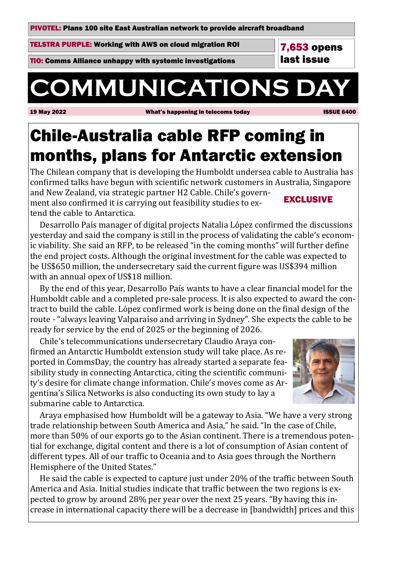PIVOTEL: Plans 100 site East Australian network to provide aircraft broadband

TELSTRA PURPLE: Working with AWS on cloud migration ROI

TIO: Comms Alliance unhappy with systemic investigations

# **COMMUNICATIONS DA**

19 May 2022 What's happening in telecoms today ISSUE 6400

7,653 opens last issue

# Chile-Australia cable RFP coming in months, plans for Antarctic extension

The Chilean company that is developing the Humboldt undersea cable to Australia has confirmed talks have begun with scientific network customers in Australia, Singapore and New Zealand, via strategic partner H2 Cable. Chile's government also confirmed it is carrying out feasibility studies to extend the cable to Antarctica. EXCLUSIVE

Desarrollo País manager of digital projects Natalia López confirmed the discussions yesterday and said the company is still in the process of validating the cable's economic viability. She said an RFP, to be released "in the coming months" will further define the end project costs. Although the original investment for the cable was expected to be US\$650 million, the undersecretary said the current figure was US\$394 million with an annual opex of US\$18 million.

By the end of this year, Desarrollo País wants to have a clear financial model for the Humboldt cable and a completed pre-sale process. It is also expected to award the contract to build the cable. López confirmed work is being done on the final design of the route - "always leaving Valparaiso and arriving in Sydney". She expects the cable to be ready for service by the end of 2025 or the beginning of 2026.

 Chile's telecommunications undersecretary Claudio Araya confirmed an Antarctic Humboldt extension study will take place. As reported in CommsDay, the country has already started a separate feasibility study in connecting Antarctica, citing the scientific community's desire for climate change information. Chile's moves come as Argentina's Silica Networks is also conducting its own study to lay a submarine cable to Antarctica.



 Araya emphasised how Humboldt will be a gateway to Asia. "We have a very strong trade relationship between South America and Asia," he said. "In the case of Chile, more than 50% of our exports go to the Asian continent. There is a tremendous potential for exchange, digital content and there is a lot of consumption of Asian content of different types. All of our traffic to Oceania and to Asia goes through the Northern Hemisphere of the United States."

He said the cable is expected to capture just under 20% of the traffic between South America and Asia. Initial studies indicate that traffic between the two regions is expected to grow by around 28% per year over the next 25 years. "By having this increase in international capacity there will be a decrease in [bandwidth] prices and this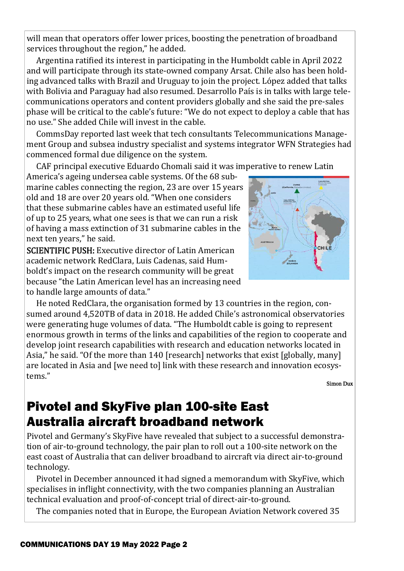will mean that operators offer lower prices, boosting the penetration of broadband services throughout the region," he added.

Argentina ratified its interest in participating in the Humboldt cable in April 2022 and will participate through its state-owned company Arsat. Chile also has been holding advanced talks with Brazil and Uruguay to join the project. López added that talks with Bolivia and Paraguay had also resumed. Desarrollo País is in talks with large telecommunications operators and content providers globally and she said the pre-sales phase will be critical to the cable's future: "We do not expect to deploy a cable that has no use." She added Chile will invest in the cable.

 CommsDay reported last week that tech consultants Telecommunications Management Group and subsea industry specialist and systems integrator WFN Strategies had commenced formal due diligence on the system.

CAF principal executive Eduardo Chomali said it was imperative to renew Latin

America's ageing undersea cable systems. Of the 68 submarine cables connecting the region, 23 are over 15 years old and 18 are over 20 years old. "When one considers that these submarine cables have an estimated useful life of up to 25 years, what one sees is that we can run a risk of having a mass extinction of 31 submarine cables in the next ten years," he said.

SCIENTIFIC PUSH: Executive director of Latin American academic network RedClara, Luis Cadenas, said Humboldt's impact on the research community will be great because "the Latin American level has an increasing need to handle large amounts of data."

 He noted RedClara, the organisation formed by 13 countries in the region, consumed around 4,520TB of data in 2018. He added Chile's astronomical observatories were generating huge volumes of data. "The Humboldt cable is going to represent enormous growth in terms of the links and capabilities of the region to cooperate and develop joint research capabilities with research and education networks located in Asia," he said. "Of the more than 140 [research] networks that exist [globally, many] are located in Asia and [we need to] link with these research and innovation ecosystems."

Simon Dux

### Pivotel and SkyFive plan 100-site East Australia aircraft broadband network

Pivotel and Germany's SkyFive have revealed that subject to a successful demonstration of air-to-ground technology, the pair plan to roll out a 100-site network on the east coast of Australia that can deliver broadband to aircraft via direct air-to-ground technology.

 Pivotel in December announced it had signed a memorandum with SkyFive, which specialises in inflight connectivity, with the two companies planning an Australian technical evaluation and proof-of-concept trial of direct-air-to-ground.

The companies noted that in Europe, the European Aviation Network covered 35

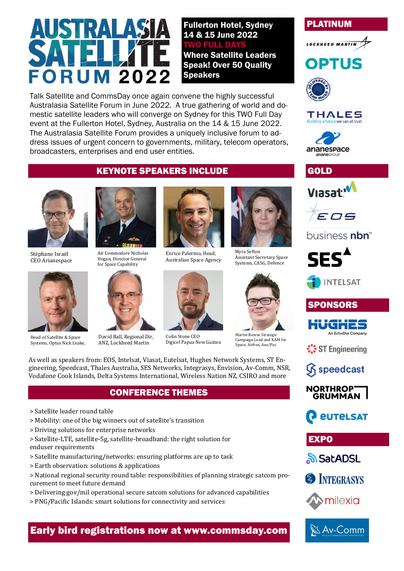# $\mathbf{A}$ **FORUM 2022**

Talk Satellite and CommsDay once again convene the highly successful Australasia Satellite Forum in June 2022. A true gathering of world and domestic satellite leaders who will converge on Sydney for this TWO Full Day event at the Fullerton Hotel, Sydney, Australia on the 14 & 15 June 2022. The Australasia Satellite Forum provides a uniquely inclusive forum to address issues of urgent concern to governments, military, telecom operators, broadcasters, enterprises and end user entities.

### PLATINUM



# **OPTUS**



#### **THALES** we can all trust









### business nbn<sup>\*</sup>



**INTELSAT** 

PONSORS

ST Engineering





*<u>EUTELSAT</u>* 

**EXPO** 

<u> කි</u>SatADSL







### KEYNOTE SPEAKERS INCLUDE



Stéphane Israël CEO Arianespace



Head of Satellite & Space Systems, Optus Nick Leake,



Air Commodore Nicholas Hogan, Director General for Space Capability



David Ball, Regional Dir, ANZ, Lockheed Martin



Enrico Palermo, Head, Australian Space Agency



Colin Stone CEO Digicel Papua New Guinea



Fullerton Hotel, Sydney 14 & 15 June 2022 **FULL D** 

Where Satellite Leaders Speak! Over 50 Quality

Speakers



Martin Rowse Strategi Campaign Lead and KAM for Space, Airbus, Aus/Pac

As well as speakers from: EOS, Intelsat, Viasat, Eutelsat, Hughes Network Systems, ST Engineering, Speedcast, Thales Australia, SES Networks, Integrasys, Envision, Av-Comm, NSR, Vodafone Cook Islands, Delta Systems International, Wireless Nation NZ, CSIRO and more

#### CONFERENCE THEMES

- > Satellite leader round table
- > Mobility: one of the big winners out of satellite's transition
- > Driving solutions for enterprise networks

> Satellite-LTE, satellite-5g, satellite-broadband: the right solution for enduser requirements

- > Satellite manufacturing/networks: ensuring platforms are up to task
- > Earth observation: solutions & applications

> National regional security round table: responsibilities of planning strategic satcom procurement to meet future demand

- > Delivering gov/mil operational secure satcom solutions for advanced capabilities
- > PNG/Pacific Islands: smart solutions for connectivity and services

Early bird registrations now at www.commsday.com

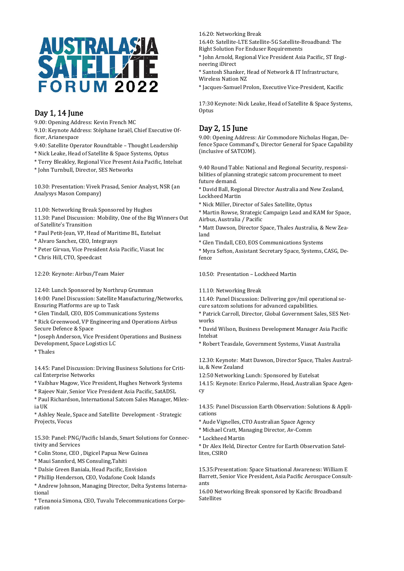

#### Day 1, 14 June

9.00: Opening Address: Kevin French MC

9.10: Keynote Address: Stéphane Israël, Chief Executive Officer, Arianespace

9.40: Satellite Operator Roundtable – Thought Leadership

- \* Nick Leake, Head of Satellite & Space Systems, Optus
- \* Terry Bleakley, Regional Vice Present Asia Pacific, Intelsat

\* John Turnbull, Director, SES Networks

10.30: Presentation: Vivek Prasad, Senior Analyst, NSR (an Analysys Mason Company)

11.00: Networking Break Sponsored by Hughes

11.30: Panel Discussion: Mobility, One of the Big Winners Out of Satellite's Transition

\* Paul Petit-Jean, VP, Head of Maritime BL, Eutelsat

- \* Alvaro Sanchez, CEO, Integrasys
- \* Peter Girvan, Vice President Asia Pacific, Viasat Inc

\* Chris Hill, CTO, Speedcast

12:20: Keynote: Airbus/Team Maier

12.40: Lunch Sponsored by Northrup Grumman 14:00: Panel Discussion: Satellite Manufacturing/Networks, Ensuring Platforms are up to Task

\* Glen Tindall, CEO, EOS Communications Systems

\* Rick Greenwood, VP Engineering and Operations Airbus Secure Defence & Space

\* Joseph Anderson, Vice President Operations and Business Development, Space Logistics LC

\* Thales

14.45: Panel Discussion: Driving Business Solutions for Critical Enterprise Networks

\* Vaibhav Magow, Vice President, Hughes Network Systems

\* Rajeev Nair, Senior Vice President Asia Pacific, SatADSL

\* Paul Richardson, International Satcom Sales Manager, Milexia UK

\* Ashley Neale, Space and Satellite Development - Strategic Projects, Vocus

15.30: Panel: PNG/Pacific Islands, Smart Solutions for Connectivity and Services

\* Colin Stone, CEO , Digicel Papua New Guinea

\* Maui Sannford, MS Consuling,Tahiti

\* Dalsie Green Baniala, Head Pacific, Envision

\* Phillip Henderson, CEO, Vodafone Cook Islands

\* Andrew Johnson, Managing Director, Delta Systems International

\* Tenanoia Simona, CEO, Tuvalu Telecommunications Corporation

16.20: Networking Break

16.40: Satellite-LTE Satellite-5G Satellite-Broadband: The Right Solution For Enduser Requirements

\* John Arnold, Regional Vice President Asia Pacific, ST Engineering iDirect

\* Santosh Shanker, Head of Network & IT Infrastructure, Wireless Nation NZ

\* Jacques-Samuel Prolon, Executive Vice-President, Kacific

17:30 Keynote: Nick Leake, Head of Satellite & Space Systems, Optus

#### Day 2, 15 June

9.00: Opening Address: Air Commodore Nicholas Hogan, Defence Space Command's, Director General for Space Capability (inclusive of SATCOM).

9.40 Round Table: National and Regional Security, responsibilities of planning strategic satcom procurement to meet future demand.

\* David Ball, Regional Director Australia and New Zealand, Lockheed Martin

\* Nick Miller, Director of Sales Satellite, Optus

\* Martin Rowse, Strategic Campaign Lead and KAM for Space, Airbus, Australia / Pacific

\* Matt Dawson, Director Space, Thales Australia, & New Zealand

\* Glen Tindall, CEO, EOS Communications Systems

\* Myra Sefton, Assistant Secretary Space, Systems, CASG, Defence

10.50: Presentation – Lockheed Martin

11.10: Networking Break

11.40: Panel Discussion: Delivering gov/mil operational secure satcom solutions for advanced capabilities.

\* Patrick Carroll, Director, Global Government Sales, SES Networks

\* David Wilson, Business Development Manager Asia Pacific Intelsat

\* Robert Teasdale, Government Systems, Viasat Australia

12.30: Keynote: Matt Dawson, Director Space, Thales Australia, & New Zealand

12:50 Networking Lunch: Sponsored by Eutelsat

14.15: Keynote: Enrico Palermo, Head, Australian Space Agency

14.35: Panel Discussion Earth Observation: Solutions & Applications

\* Aude Vignelles, CTO Australian Space Agency

- \* Michael Cratt, Managing Director, Av-Comm
- \* Lockheed Martin

\* Dr Alex Held, Director Centre for Earth Observation Satellites, CSIRO

15.35:Presentation: Space Situational Awareness: William E Barrett, Senior Vice President, Asia Pacific Aerospace Consultants

16.00 Networking Break sponsored by Kacific Broadband Satellites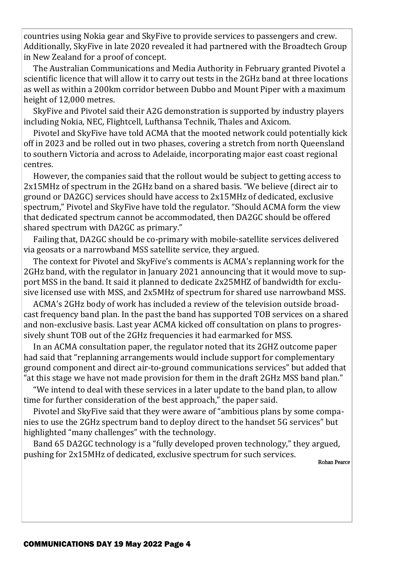countries using Nokia gear and SkyFive to provide services to passengers and crew. Additionally, SkyFive in late 2020 revealed it had partnered with the Broadtech Group in New Zealand for a proof of concept.

 The Australian Communications and Media Authority in February granted Pivotel a scientific licence that will allow it to carry out tests in the 2GHz band at three locations as well as within a 200km corridor between Dubbo and Mount Piper with a maximum height of 12,000 metres.

 SkyFive and Pivotel said their A2G demonstration is supported by industry players including Nokia, NEC, Flightcell, Lufthansa Technik, Thales and Axicom.

 Pivotel and SkyFive have told ACMA that the mooted network could potentially kick off in 2023 and be rolled out in two phases, covering a stretch from north Queensland to southern Victoria and across to Adelaide, incorporating major east coast regional centres.

 However, the companies said that the rollout would be subject to getting access to 2x15MHz of spectrum in the 2GHz band on a shared basis. "We believe (direct air to ground or DA2GC) services should have access to 2x15MHz of dedicated, exclusive spectrum," Pivotel and SkyFive have told the regulator. "Should ACMA form the view that dedicated spectrum cannot be accommodated, then DA2GC should be offered shared spectrum with DA2GC as primary."

 Failing that, DA2GC should be co-primary with mobile-satellite services delivered via geosats or a narrowband MSS satellite service, they argued.

 The context for Pivotel and SkyFive's comments is ACMA's replanning work for the 2GHz band, with the regulator in January 2021 announcing that it would move to support MSS in the band. It said it planned to dedicate 2x25MHZ of bandwidth for exclusive licensed use with MSS, and 2x5MHz of spectrum for shared use narrowband MSS.

 ACMA's 2GHz body of work has included a review of the television outside broadcast frequency band plan. In the past the band has supported TOB services on a shared and non-exclusive basis. Last year ACMA kicked off consultation on plans to progressively shunt TOB out of the 2GHz frequencies it had earmarked for MSS.

 In an ACMA consultation paper, the regulator noted that its 2GHZ outcome paper had said that "replanning arrangements would include support for complementary ground component and direct air-to-ground communications services" but added that "at this stage we have not made provision for them in the draft 2GHz MSS band plan."

 "We intend to deal with these services in a later update to the band plan, to allow time for further consideration of the best approach," the paper said.

 Pivotel and SkyFive said that they were aware of "ambitious plans by some companies to use the 2GHz spectrum band to deploy direct to the handset 5G services" but highlighted "many challenges" with the technology.

 Band 65 DA2GC technology is a "fully developed proven technology," they argued, pushing for 2x15MHz of dedicated, exclusive spectrum for such services.

Rohan Pearce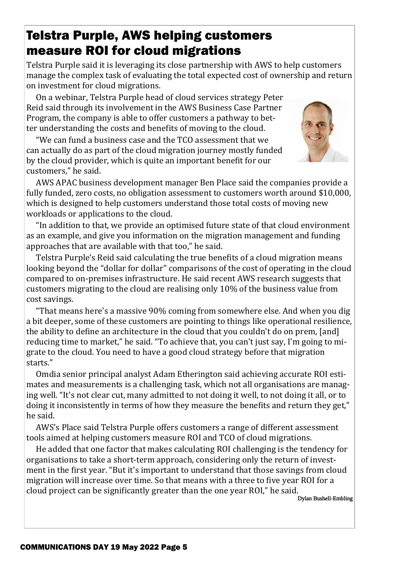### Telstra Purple, AWS helping customers measure ROI for cloud migrations

Telstra Purple said it is leveraging its close partnership with AWS to help customers manage the complex task of evaluating the total expected cost of ownership and return on investment for cloud migrations.

 On a webinar, Telstra Purple head of cloud services strategy Peter Reid said through its involvement in the AWS Business Case Partner Program, the company is able to offer customers a pathway to better understanding the costs and benefits of moving to the cloud.

 "We can fund a business case and the TCO assessment that we can actually do as part of the cloud migration journey mostly funded by the cloud provider, which is quite an important benefit for our customers," he said.



 AWS APAC business development manager Ben Place said the companies provide a fully funded, zero costs, no obligation assessment to customers worth around \$10,000, which is designed to help customers understand those total costs of moving new workloads or applications to the cloud.

 "In addition to that, we provide an optimised future state of that cloud environment as an example, and give you information on the migration management and funding approaches that are available with that too," he said.

Telstra Purple's Reid said calculating the true benefits of a cloud migration means looking beyond the "dollar for dollar" comparisons of the cost of operating in the cloud compared to on-premises infrastructure. He said recent AWS research suggests that customers migrating to the cloud are realising only 10% of the business value from cost savings.

 "That means here's a massive 90% coming from somewhere else. And when you dig a bit deeper, some of these customers are pointing to things like operational resilience, the ability to define an architecture in the cloud that you couldn't do on prem, [and] reducing time to market," he said. "To achieve that, you can't just say, I'm going to migrate to the cloud. You need to have a good cloud strategy before that migration starts."

 Omdia senior principal analyst Adam Etherington said achieving accurate ROI estimates and measurements is a challenging task, which not all organisations are managing well. "It's not clear cut, many admitted to not doing it well, to not doing it all, or to doing it inconsistently in terms of how they measure the benefits and return they get," he said.

 AWS's Place said Telstra Purple offers customers a range of different assessment tools aimed at helping customers measure ROI and TCO of cloud migrations.

 He added that one factor that makes calculating ROI challenging is the tendency for organisations to take a short-term approach, considering only the return of investment in the first year. "But it's important to understand that those savings from cloud migration will increase over time. So that means with a three to five year ROI for a cloud project can be significantly greater than the one year ROI," he said.

Dylan Bushell-Embling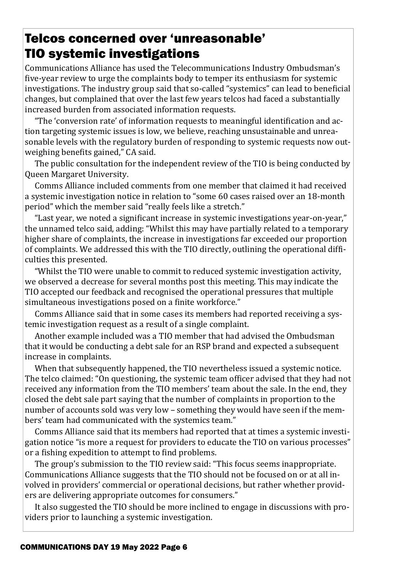### Telcos concerned over 'unreasonable' TIO systemic investigations

Communications Alliance has used the Telecommunications Industry Ombudsman's five-year review to urge the complaints body to temper its enthusiasm for systemic investigations. The industry group said that so-called "systemics" can lead to beneficial changes, but complained that over the last few years telcos had faced a substantially increased burden from associated information requests.

"The 'conversion rate' of information requests to meaningful identification and action targeting systemic issues is low, we believe, reaching unsustainable and unreasonable levels with the regulatory burden of responding to systemic requests now outweighing benefits gained," CA said.

 The public consultation for the independent review of the TIO is being conducted by Queen Margaret University.

 Comms Alliance included comments from one member that claimed it had received a systemic investigation notice in relation to "some 60 cases raised over an 18-month period" which the member said "really feels like a stretch."

"Last year, we noted a significant increase in systemic investigations year-on-year," the unnamed telco said, adding: "Whilst this may have partially related to a temporary higher share of complaints, the increase in investigations far exceeded our proportion of complaints. We addressed this with the TIO directly, outlining the operational difficulties this presented.

 "Whilst the TIO were unable to commit to reduced systemic investigation activity, we observed a decrease for several months post this meeting. This may indicate the TIO accepted our feedback and recognised the operational pressures that multiple simultaneous investigations posed on a finite workforce."

 Comms Alliance said that in some cases its members had reported receiving a systemic investigation request as a result of a single complaint.

 Another example included was a TIO member that had advised the Ombudsman that it would be conducting a debt sale for an RSP brand and expected a subsequent increase in complaints.

 When that subsequently happened, the TIO nevertheless issued a systemic notice. The telco claimed: "On questioning, the systemic team officer advised that they had not received any information from the TIO members' team about the sale. In the end, they closed the debt sale part saying that the number of complaints in proportion to the number of accounts sold was very low – something they would have seen if the members' team had communicated with the systemics team."

 Comms Alliance said that its members had reported that at times a systemic investigation notice "is more a request for providers to educate the TIO on various processes" or a fishing expedition to attempt to find problems.

 The group's submission to the TIO review said: "This focus seems inappropriate. Communications Alliance suggests that the TIO should not be focused on or at all involved in providers' commercial or operational decisions, but rather whether providers are delivering appropriate outcomes for consumers."

 It also suggested the TIO should be more inclined to engage in discussions with providers prior to launching a systemic investigation.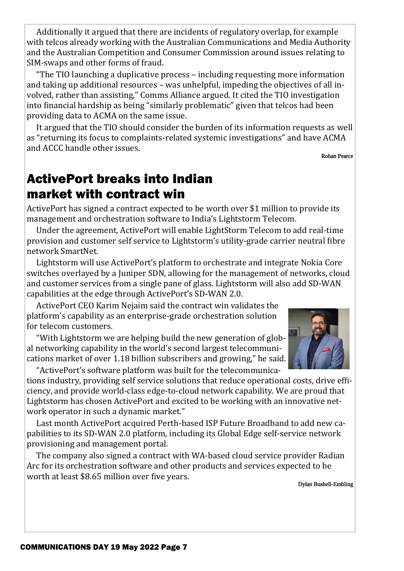Additionally it argued that there are incidents of regulatory overlap, for example with telcos already working with the Australian Communications and Media Authority and the Australian Competition and Consumer Commission around issues relating to SIM-swaps and other forms of fraud.

 "The TIO launching a duplicative process – including requesting more information and taking up additional resources – was unhelpful, impeding the objectives of all involved, rather than assisting," Comms Alliance argued. It cited the TIO investigation into financial hardship as being "similarly problematic" given that telcos had been providing data to ACMA on the same issue.

 It argued that the TIO should consider the burden of its information requests as well as "returning its focus to complaints-related systemic investigations" and have ACMA and ACCC handle other issues.

Rohan Pearce

## ActivePort breaks into Indian market with contract win

ActivePort has signed a contract expected to be worth over \$1 million to provide its management and orchestration software to India's Lightstorm Telecom.

 Under the agreement, ActivePort will enable LightStorm Telecom to add real-time provision and customer self service to Lightstorm's utility-grade carrier neutral fibre network SmartNet.

 Lightstorm will use ActivePort's platform to orchestrate and integrate Nokia Core switches overlayed by a Juniper SDN, allowing for the management of networks, cloud and customer services from a single pane of glass. Lightstorm will also add SD-WAN capabilities at the edge through ActivePort's SD-WAN 2.0.

 ActivePort CEO Karim Nejaim said the contract win validates the platform's capability as an enterprise-grade orchestration solution for telecom customers.

 "With Lightstorm we are helping build the new generation of global networking capability in the world's second largest telecommunications market of over 1.18 billion subscribers and growing," he said. "ActivePort's software platform was built for the telecommunica-

tions industry, providing self service solutions that reduce operational costs, drive efficiency, and provide world-class edge-to-cloud network capability. We are proud that Lightstorm has chosen ActivePort and excited to be working with an innovative network operator in such a dynamic market."

 Last month ActivePort acquired Perth-based ISP Future Broadband to add new capabilities to its SD-WAN 2.0 platform, including its Global Edge self-service network provisioning and management portal.

 The company also signed a contract with WA-based cloud service provider Radian Arc for its orchestration software and other products and services expected to be worth at least \$8.65 million over five years.

Dylan Bushell-Embling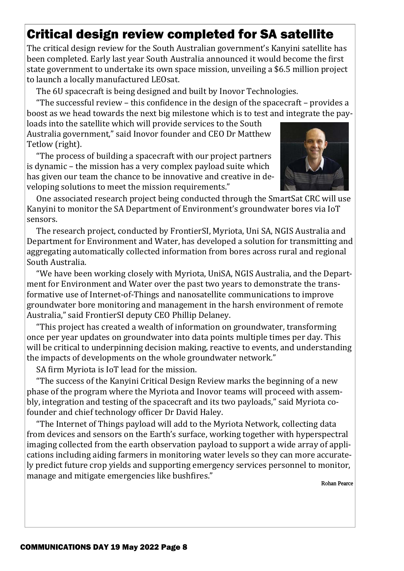# Critical design review completed for SA satellite

The critical design review for the South Australian government's Kanyini satellite has been completed. Early last year South Australia announced it would become the first state government to undertake its own space mission, unveiling a \$6.5 million project to launch a locally manufactured LEOsat.

The 6U spacecraft is being designed and built by Inovor Technologies.

"The successful review – this confidence in the design of the spacecraft – provides a boost as we head towards the next big milestone which is to test and integrate the pay-

loads into the satellite which will provide services to the South Australia government," said Inovor founder and CEO Dr Matthew Tetlow (right).

 "The process of building a spacecraft with our project partners is dynamic – the mission has a very complex payload suite which has given our team the chance to be innovative and creative in developing solutions to meet the mission requirements."



 One associated research project being conducted through the SmartSat CRC will use Kanyini to monitor the SA Department of Environment's groundwater bores via IoT sensors.

 The research project, conducted by FrontierSI, Myriota, Uni SA, NGIS Australia and Department for Environment and Water, has developed a solution for transmitting and aggregating automatically collected information from bores across rural and regional South Australia.

 "We have been working closely with Myriota, UniSA, NGIS Australia, and the Department for Environment and Water over the past two years to demonstrate the transformative use of Internet-of-Things and nanosatellite communications to improve groundwater bore monitoring and management in the harsh environment of remote Australia," said FrontierSI deputy CEO Phillip Delaney.

 "This project has created a wealth of information on groundwater, transforming once per year updates on groundwater into data points multiple times per day. This will be critical to underpinning decision making, reactive to events, and understanding the impacts of developments on the whole groundwater network."

SA firm Myriota is IoT lead for the mission.

 "The success of the Kanyini Critical Design Review marks the beginning of a new phase of the program where the Myriota and Inovor teams will proceed with assembly, integration and testing of the spacecraft and its two payloads," said Myriota cofounder and chief technology officer Dr David Haley.

 "The Internet of Things payload will add to the Myriota Network, collecting data from devices and sensors on the Earth's surface, working together with hyperspectral imaging collected from the earth observation payload to support a wide array of applications including aiding farmers in monitoring water levels so they can more accurately predict future crop yields and supporting emergency services personnel to monitor, manage and mitigate emergencies like bushfires."

Rohan Pearce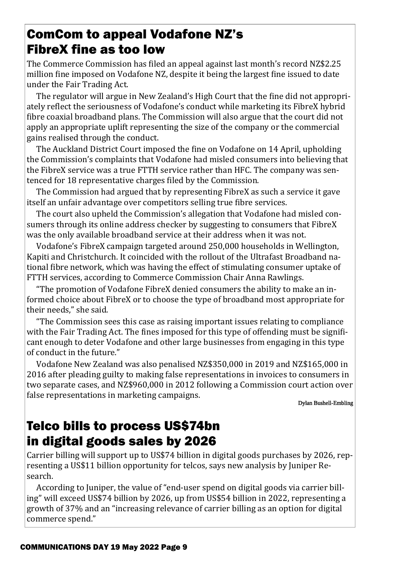### ComCom to appeal Vodafone NZ's FibreX fine as too low

The Commerce Commission has filed an appeal against last month's record NZ\$2.25 million fine imposed on Vodafone NZ, despite it being the largest fine issued to date under the Fair Trading Act.

The regulator will argue in New Zealand's High Court that the fine did not appropriately reflect the seriousness of Vodafone's conduct while marketing its FibreX hybrid fibre coaxial broadband plans. The Commission will also argue that the court did not apply an appropriate uplift representing the size of the company or the commercial gains realised through the conduct.

The Auckland District Court imposed the fine on Vodafone on 14 April, upholding the Commission's complaints that Vodafone had misled consumers into believing that the FibreX service was a true FTTH service rather than HFC. The company was sentenced for 18 representative charges filed by the Commission.

 The Commission had argued that by representing FibreX as such a service it gave itself an unfair advantage over competitors selling true fibre services.

 The court also upheld the Commission's allegation that Vodafone had misled consumers through its online address checker by suggesting to consumers that FibreX was the only available broadband service at their address when it was not.

 Vodafone's FibreX campaign targeted around 250,000 households in Wellington, Kapiti and Christchurch. It coincided with the rollout of the Ultrafast Broadband national fibre network, which was having the effect of stimulating consumer uptake of FTTH services, according to Commerce Commission Chair Anna Rawlings.

 "The promotion of Vodafone FibreX denied consumers the ability to make an informed choice about FibreX or to choose the type of broadband most appropriate for their needs," she said.

 "The Commission sees this case as raising important issues relating to compliance with the Fair Trading Act. The fines imposed for this type of offending must be significant enough to deter Vodafone and other large businesses from engaging in this type of conduct in the future."

 Vodafone New Zealand was also penalised NZ\$350,000 in 2019 and NZ\$165,000 in 2016 after pleading guilty to making false representations in invoices to consumers in two separate cases, and NZ\$960,000 in 2012 following a Commission court action over false representations in marketing campaigns.

Dylan Bushell-Embling

## Telco bills to process US\$74bn in digital goods sales by 2026

Carrier billing will support up to US\$74 billion in digital goods purchases by 2026, representing a US\$11 billion opportunity for telcos, says new analysis by Juniper Research.

 According to Juniper, the value of "end-user spend on digital goods via carrier billing" will exceed US\$74 billion by 2026, up from US\$54 billion in 2022, representing a growth of 37% and an "increasing relevance of carrier billing as an option for digital commerce spend."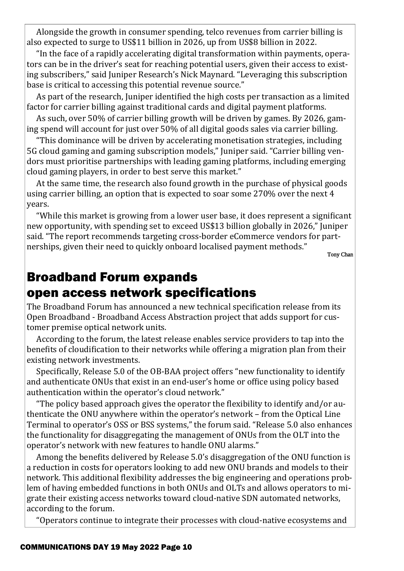Alongside the growth in consumer spending, telco revenues from carrier billing is also expected to surge to US\$11 billion in 2026, up from US\$8 billion in 2022.

 "In the face of a rapidly accelerating digital transformation within payments, operators can be in the driver's seat for reaching potential users, given their access to existing subscribers," said Juniper Research's Nick Maynard. "Leveraging this subscription base is critical to accessing this potential revenue source."

As part of the research, Juniper identified the high costs per transaction as a limited factor for carrier billing against traditional cards and digital payment platforms.

 As such, over 50% of carrier billing growth will be driven by games. By 2026, gaming spend will account for just over 50% of all digital goods sales via carrier billing.

 "This dominance will be driven by accelerating monetisation strategies, including 5G cloud gaming and gaming subscription models," Juniper said. "Carrier billing vendors must prioritise partnerships with leading gaming platforms, including emerging cloud gaming players, in order to best serve this market."

 At the same time, the research also found growth in the purchase of physical goods using carrier billing, an option that is expected to soar some 270% over the next 4 years.

"While this market is growing from a lower user base, it does represent a significant new opportunity, with spending set to exceed US\$13 billion globally in 2026," Juniper said. "The report recommends targeting cross-border eCommerce vendors for partnerships, given their need to quickly onboard localised payment methods."

Tony Chan

### Broadband Forum expands open access network specifications

The Broadband Forum has announced a new technical specification release from its Open Broadband - Broadband Access Abstraction project that adds support for customer premise optical network units.

 According to the forum, the latest release enables service providers to tap into the benefits of cloudification to their networks while offering a migration plan from their existing network investments.

Specifically, Release 5.0 of the OB-BAA project offers "new functionality to identify and authenticate ONUs that exist in an end-user's home or office using policy based authentication within the operator's cloud network."

 "The policy based approach gives the operator the ϐlexibility to identify and/or authenticate the ONU anywhere within the operator's network – from the Optical Line Terminal to operator's OSS or BSS systems," the forum said. "Release 5.0 also enhances the functionality for disaggregating the management of ONUs from the OLT into the operator's network with new features to handle ONU alarms."

Among the benefits delivered by Release 5.0's disaggregation of the ONU function is a reduction in costs for operators looking to add new ONU brands and models to their network. This additional flexibility addresses the big engineering and operations problem of having embedded functions in both ONUs and OLTs and allows operators to migrate their existing access networks toward cloud-native SDN automated networks, according to the forum.

"Operators continue to integrate their processes with cloud-native ecosystems and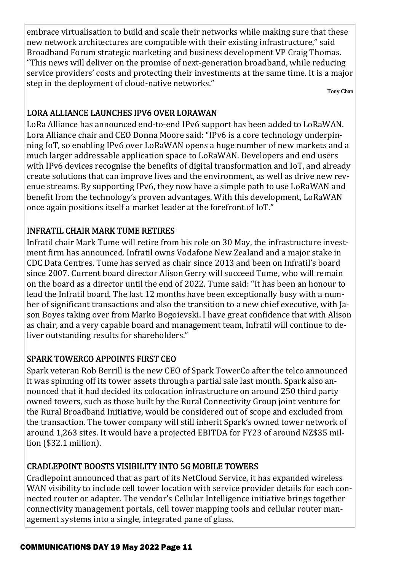embrace virtualisation to build and scale their networks while making sure that these new network architectures are compatible with their existing infrastructure," said Broadband Forum strategic marketing and business development VP Craig Thomas. "This news will deliver on the promise of next-generation broadband, while reducing service providers' costs and protecting their investments at the same time. It is a major step in the deployment of cloud-native networks."

Tony Chan

### LORA ALLIANCE LAUNCHES IPV6 OVER LORAWAN

LoRa Alliance has announced end-to-end IPv6 support has been added to LoRaWAN. Lora Alliance chair and CEO Donna Moore said: "IPv6 is a core technology underpinning IoT, so enabling IPv6 over LoRaWAN opens a huge number of new markets and a much larger addressable application space to LoRaWAN. Developers and end users with IPv6 devices recognise the benefits of digital transformation and IoT, and already create solutions that can improve lives and the environment, as well as drive new revenue streams. By supporting IPv6, they now have a simple path to use LoRaWAN and benefit from the technology's proven advantages. With this development, LoRaWAN once again positions itself a market leader at the forefront of IoT."

### INFRATIL CHAIR MARK TUME RETIRES

Infratil chair Mark Tume will retire from his role on 30 May, the infrastructure investment firm has announced. Infratil owns Vodafone New Zealand and a major stake in CDC Data Centres. Tume has served as chair since 2013 and been on Infratil's board since 2007. Current board director Alison Gerry will succeed Tume, who will remain on the board as a director until the end of 2022. Tume said: "It has been an honour to lead the Infratil board. The last 12 months have been exceptionally busy with a number of significant transactions and also the transition to a new chief executive, with Jason Boyes taking over from Marko Bogoievski. I have great confidence that with Alison as chair, and a very capable board and management team, Infratil will continue to deliver outstanding results for shareholders."

### SPARK TOWERCO APPOINTS FIRST CEO

Spark veteran Rob Berrill is the new CEO of Spark TowerCo after the telco announced it was spinning off its tower assets through a partial sale last month. Spark also announced that it had decided its colocation infrastructure on around 250 third party owned towers, such as those built by the Rural Connectivity Group joint venture for the Rural Broadband Initiative, would be considered out of scope and excluded from the transaction. The tower company will still inherit Spark's owned tower network of around 1,263 sites. It would have a projected EBITDA for FY23 of around NZ\$35 million (\$32.1 million).

### CRADLEPOINT BOOSTS VISIBILITY INTO 5G MOBILE TOWERS

Cradlepoint announced that as part of its NetCloud Service, it has expanded wireless WAN visibility to include cell tower location with service provider details for each connected router or adapter. The vendor's Cellular Intelligence initiative brings together connectivity management portals, cell tower mapping tools and cellular router management systems into a single, integrated pane of glass.